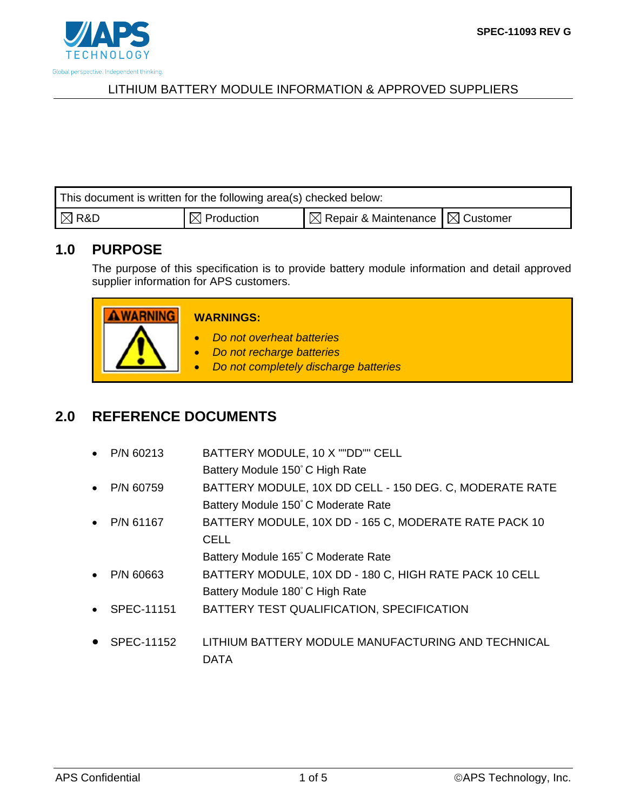

| This document is written for the following area(s) checked below: |                                   |                                                         |  |  |  |  |  |
|-------------------------------------------------------------------|-----------------------------------|---------------------------------------------------------|--|--|--|--|--|
| $\mathsf{R} \boxtimes \mathsf{R}$ R&D                             | $\textsf{I} \boxtimes$ Production | $\mathbb{R}$ Repair & Maintenance $\mathbb{R}$ Customer |  |  |  |  |  |

# **1.0 PURPOSE**

The purpose of this specification is to provide battery module information and detail approved supplier information for APS customers.

| <b>WARNINGS:</b>                                                                                             |
|--------------------------------------------------------------------------------------------------------------|
| Do not overheat batteries<br>Do not recharge batteries<br>Do not completely discharge batteries<br>$\bullet$ |

# **2.0 REFERENCE DOCUMENTS**

| $\bullet$ | P/N 60213  | BATTERY MODULE, 10 X ""DD"" CELL                        |
|-----------|------------|---------------------------------------------------------|
|           |            | Battery Module 150°C High Rate                          |
| $\bullet$ | P/N 60759  | BATTERY MODULE, 10X DD CELL - 150 DEG. C, MODERATE RATE |
|           |            | Battery Module 150°C Moderate Rate                      |
| $\bullet$ | P/N 61167  | BATTERY MODULE, 10X DD - 165 C, MODERATE RATE PACK 10   |
|           |            | <b>CELL</b>                                             |
|           |            | Battery Module 165°C Moderate Rate                      |
| $\bullet$ | P/N 60663  | BATTERY MODULE, 10X DD - 180 C, HIGH RATE PACK 10 CELL  |
|           |            | Battery Module 180°C High Rate                          |
| $\bullet$ | SPEC-11151 | BATTERY TEST QUALIFICATION, SPECIFICATION               |
|           |            |                                                         |
|           | SPEC-11152 | LITHIUM BATTERY MODULE MANUFACTURING AND TECHNICAL      |
|           |            | DATA                                                    |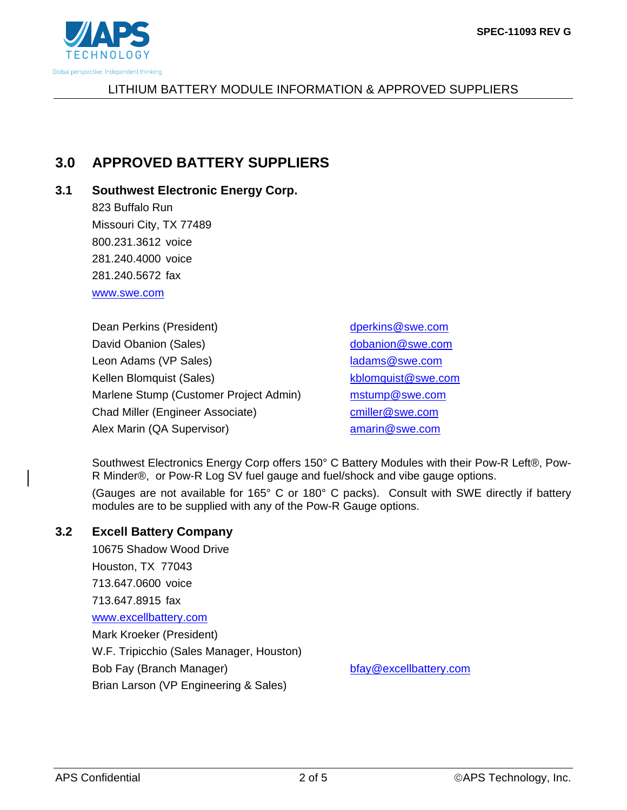

# **3.0 APPROVED BATTERY SUPPLIERS**

## **3.1 Southwest Electronic Energy Corp.**

823 Buffalo Run Missouri City, TX 77489 800.231.3612 voice 281.240.4000 voice 281.240.5672 fax www.swe.com

Dean Perkins (President) dperkins@swe.com David Obanion (Sales) dobanion@swe.com Leon Adams (VP Sales) ladams @swe.com Kellen Blomquist (Sales) kblomquist @swe.com Marlene Stump (Customer Project Admin) mstump@swe.com Chad Miller (Engineer Associate) cmiller@swe.com Alex Marin (QA Supervisor) amarin@swe.com

Southwest Electronics Energy Corp offers 150° C Battery Modules with their Pow-R Left®, Pow-R Minder®, or Pow-R Log SV fuel gauge and fuel/shock and vibe gauge options.

(Gauges are not available for 165° C or 180° C packs). Consult with SWE directly if battery modules are to be supplied with any of the Pow-R Gauge options.

### **3.2 Excell Battery Company**

10675 Shadow Wood Drive Houston, TX 77043 713.647.0600 voice 713.647.8915 fax www.excellbattery.com Mark Kroeker (President) W.F. Tripicchio (Sales Manager, Houston) Bob Fay (Branch Manager) bfay@excellbattery.com Brian Larson (VP Engineering & Sales)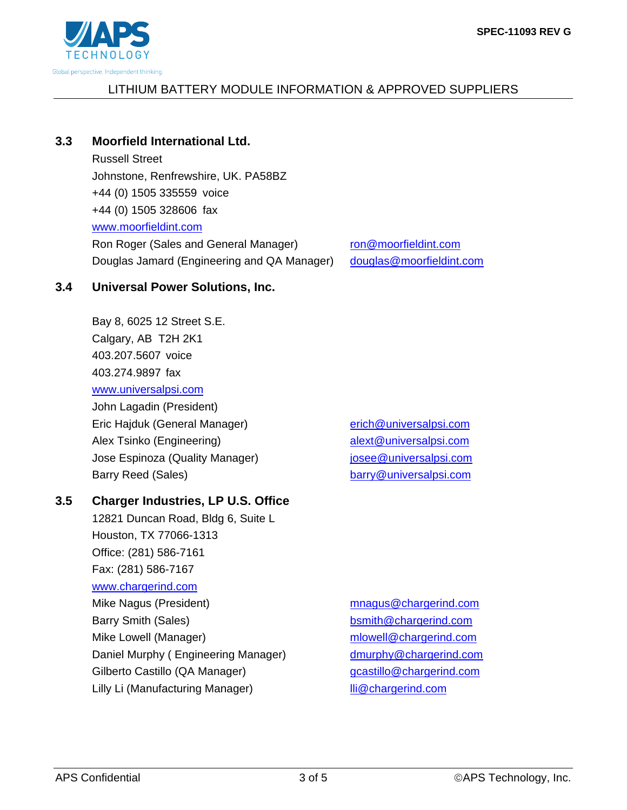

## **3.3 Moorfield International Ltd.**

Russell Street Johnstone, Renfrewshire, UK. PA58BZ +44 (0) 1505 335559 voice +44 (0) 1505 328606 fax www.moorfieldint.com Ron Roger (Sales and General Manager) ron@moorfieldint.com Douglas Jamard (Engineering and QA Manager) douglas@moorfieldint.com

### **3.4 Universal Power Solutions, Inc.**

Bay 8, 6025 12 Street S.E. Calgary, AB T2H 2K1 403.207.5607 voice 403.274.9897 fax www.universalpsi.com John Lagadin (President) Eric Hajduk (General Manager) erich@universalpsi.com Alex Tsinko (Engineering) alext@universalpsi.com Jose Espinoza (Quality Manager) josee@universalpsi.com

### **3.5 Charger Industries, LP U.S. Office**

12821 Duncan Road, Bldg 6, Suite L Houston, TX 77066-1313 Office: (281) 586-7161 Fax: (281) 586-7167 www.chargerind.com Mike Nagus (President) mnagus@chargerind.com Barry Smith (Sales) bsmith@chargerind.com Mike Lowell (Manager) mission mlowell@chargerind.com Daniel Murphy (Engineering Manager) dmurphy@chargerind.com Gilberto Castillo (QA Manager) entitled a gcastillo@chargerind.com Lilly Li (Manufacturing Manager) lli@chargerind.com

Barry Reed (Sales) barry@universalpsi.com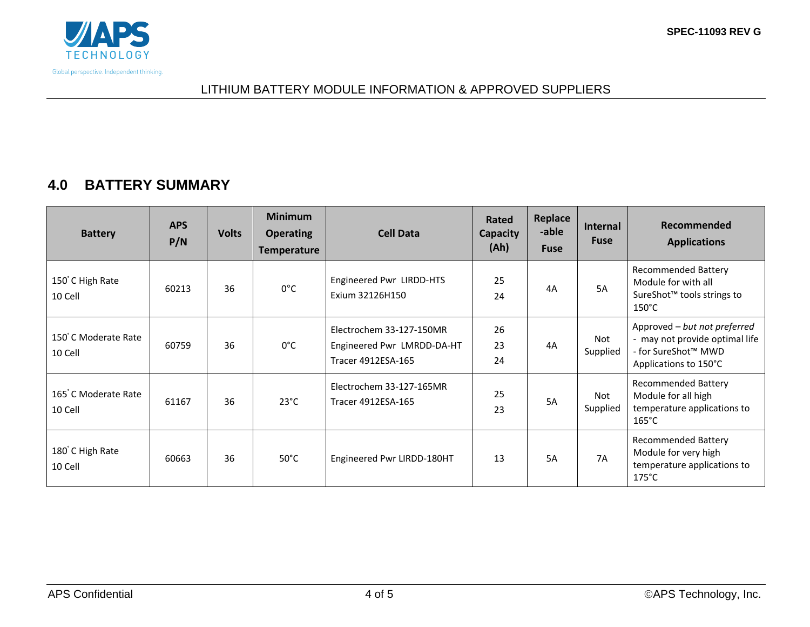

## **4.0 BATTERY SUMMARY**

| <b>Battery</b>                 | <b>APS</b><br>P/N | <b>Volts</b> | <b>Minimum</b><br><b>Operating</b><br><b>Temperature</b> | <b>Cell Data</b>                                                             | Rated<br><b>Capacity</b><br>(Ah) | Replace<br>-able<br><b>Fuse</b> | Internal<br><b>Fuse</b> | Recommended<br><b>Applications</b>                                                                             |
|--------------------------------|-------------------|--------------|----------------------------------------------------------|------------------------------------------------------------------------------|----------------------------------|---------------------------------|-------------------------|----------------------------------------------------------------------------------------------------------------|
| 150°C High Rate<br>10 Cell     | 60213             | 36           | $0^{\circ}$ C                                            | Engineered Pwr LIRDD-HTS<br>Exium 32126H150                                  | 25<br>24                         | 4A                              | 5A                      | <b>Recommended Battery</b><br>Module for with all<br>SureShot <sup>™</sup> tools strings to<br>$150^{\circ}$ C |
| 150°C Moderate Rate<br>10 Cell | 60759             | 36           | $0^{\circ}$ C                                            | Electrochem 33-127-150MR<br>Engineered Pwr LMRDD-DA-HT<br>Tracer 4912ESA-165 | 26<br>23<br>24                   | 4A                              | Not<br>Supplied         | Approved - but not preferred<br>- may not provide optimal life<br>- for SureShot™ MWD<br>Applications to 150°C |
| 165°C Moderate Rate<br>10 Cell | 61167             | 36           | $23^{\circ}$ C                                           | Electrochem 33-127-165MR<br>Tracer 4912ESA-165                               | 25<br>23                         | 5A                              | Not<br>Supplied         | <b>Recommended Battery</b><br>Module for all high<br>temperature applications to<br>$165^{\circ}$ C            |
| 180°C High Rate<br>10 Cell     | 60663             | 36           | $50^{\circ}$ C                                           | Engineered Pwr LIRDD-180HT                                                   | 13                               | 5A                              | <b>7A</b>               | <b>Recommended Battery</b><br>Module for very high<br>temperature applications to<br>$175^{\circ}$ C           |